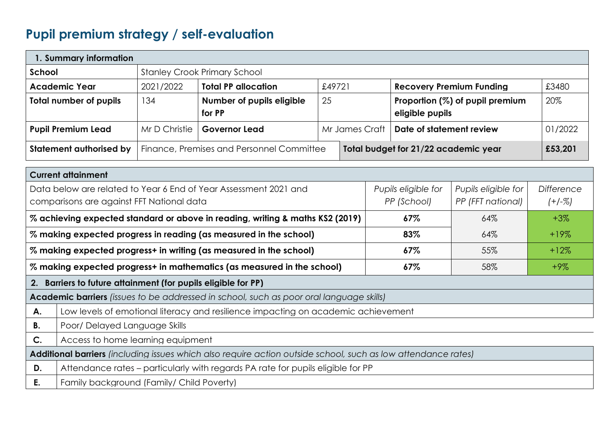## **Pupil premium strategy / self-evaluation**

| 1. Summary information         |                                                                                   |                                                                         |                |  |                                 |         |
|--------------------------------|-----------------------------------------------------------------------------------|-------------------------------------------------------------------------|----------------|--|---------------------------------|---------|
| School                         | <b>Stanley Crook Primary School</b>                                               |                                                                         |                |  |                                 |         |
| <b>Academic Year</b>           | 2021/2022                                                                         | <b>Total PP allocation</b><br>£49721<br><b>Recovery Premium Funding</b> |                |  | £3480                           |         |
| <b>Total number of pupils</b>  | 134                                                                               | Number of pupils eligible                                               | 25             |  | Proportion (%) of pupil premium | 20%     |
|                                |                                                                                   | for PP                                                                  |                |  | eligible pupils                 |         |
| <b>Pupil Premium Lead</b>      | Mr D Christie                                                                     | <b>Governor Lead</b>                                                    | Mr James Craft |  | Date of statement review        | 01/2022 |
| <b>Statement authorised by</b> | Finance, Premises and Personnel Committee<br>Total budget for 21/22 academic year |                                                                         |                |  | £53,201                         |         |

|                                                                                                                      | <b>Current attainment</b>                                                                         |                     |                     |                   |  |  |  |  |
|----------------------------------------------------------------------------------------------------------------------|---------------------------------------------------------------------------------------------------|---------------------|---------------------|-------------------|--|--|--|--|
|                                                                                                                      | Data below are related to Year 6 End of Year Assessment 2021 and                                  | Pupils eligible for | Pupils eligible for | <b>Difference</b> |  |  |  |  |
|                                                                                                                      | comparisons are against FFT National data                                                         | PP (School)         | PP (FFT national)   | $(+/-%)$          |  |  |  |  |
|                                                                                                                      | % achieving expected standard or above in reading, writing & maths KS2 (2019)                     | 67%                 | 64%                 | $+3\%$            |  |  |  |  |
|                                                                                                                      | % making expected progress in reading (as measured in the school)                                 | 83%                 | 64%                 | $+19%$            |  |  |  |  |
|                                                                                                                      | % making expected progress+ in writing (as measured in the school)<br>55%<br>$67\%$<br>$+12%$     |                     |                     |                   |  |  |  |  |
|                                                                                                                      | % making expected progress+ in mathematics (as measured in the school)<br>58%<br>$67\%$<br>$+9\%$ |                     |                     |                   |  |  |  |  |
|                                                                                                                      | 2. Barriers to future attainment (for pupils eligible for PP)                                     |                     |                     |                   |  |  |  |  |
|                                                                                                                      | <b>Academic barriers</b> (issues to be addressed in school, such as poor oral language skills)    |                     |                     |                   |  |  |  |  |
| А.                                                                                                                   | Low levels of emotional literacy and resilience impacting on academic achievement                 |                     |                     |                   |  |  |  |  |
| В.                                                                                                                   | Poor/ Delayed Language Skills                                                                     |                     |                     |                   |  |  |  |  |
| $\mathsf{C}.$                                                                                                        | Access to home learning equipment                                                                 |                     |                     |                   |  |  |  |  |
| <b>Additional barriers</b> (including issues which also require action outside school, such as low attendance rates) |                                                                                                   |                     |                     |                   |  |  |  |  |
| D.                                                                                                                   | Attendance rates – particularly with regards PA rate for pupils eligible for PP                   |                     |                     |                   |  |  |  |  |
| Е.                                                                                                                   | Family background (Family/ Child Poverty)                                                         |                     |                     |                   |  |  |  |  |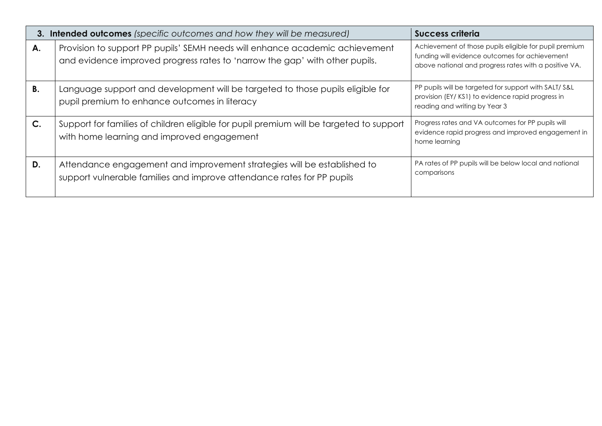|             | <b>3. Intended outcomes</b> (specific outcomes and how they will be measured)                                                                               | Success criteria                                                                                                                                                  |
|-------------|-------------------------------------------------------------------------------------------------------------------------------------------------------------|-------------------------------------------------------------------------------------------------------------------------------------------------------------------|
| Α.          | Provision to support PP pupils' SEMH needs will enhance academic achievement<br>and evidence improved progress rates to 'narrow the gap' with other pupils. | Achievement of those pupils eligible for pupil premium<br>funding will evidence outcomes for achievement<br>above national and progress rates with a positive VA. |
| В.          | Language support and development will be targeted to those pupils eligible for<br>pupil premium to enhance outcomes in literacy                             | PP pupils will be targeted for support with SALT/S&L<br>provision (EY/KS1) to evidence rapid progress in<br>reading and writing by Year 3                         |
| $C_{\cdot}$ | Support for families of children eligible for pupil premium will be targeted to support<br>with home learning and improved engagement                       | Progress rates and VA outcomes for PP pupils will<br>evidence rapid progress and improved engagement in<br>home learning                                          |
| D.          | Attendance engagement and improvement strategies will be established to<br>support vulnerable families and improve attendance rates for PP pupils           | PA rates of PP pupils will be below local and national<br>comparisons                                                                                             |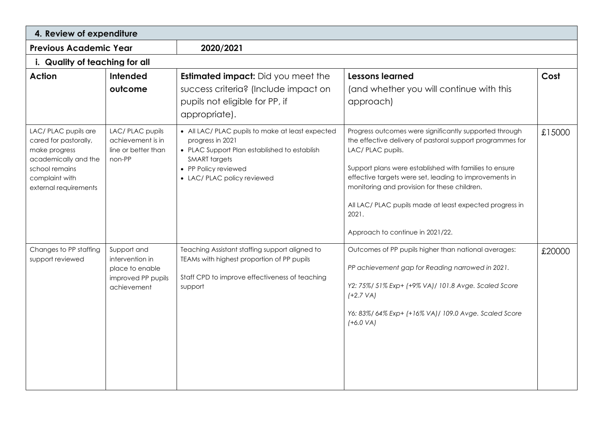| 4. Review of expenditure                                                                                                                            |                                                                                        |                                                                                                                                                                                                     |                                                                                                                                                                                                                                                                                                                                                                                                                      |        |  |  |  |
|-----------------------------------------------------------------------------------------------------------------------------------------------------|----------------------------------------------------------------------------------------|-----------------------------------------------------------------------------------------------------------------------------------------------------------------------------------------------------|----------------------------------------------------------------------------------------------------------------------------------------------------------------------------------------------------------------------------------------------------------------------------------------------------------------------------------------------------------------------------------------------------------------------|--------|--|--|--|
| <b>Previous Academic Year</b>                                                                                                                       |                                                                                        | 2020/2021                                                                                                                                                                                           |                                                                                                                                                                                                                                                                                                                                                                                                                      |        |  |  |  |
| i. Quality of teaching for all                                                                                                                      |                                                                                        |                                                                                                                                                                                                     |                                                                                                                                                                                                                                                                                                                                                                                                                      |        |  |  |  |
| <b>Action</b>                                                                                                                                       | <b>Intended</b><br>outcome                                                             | <b>Estimated impact:</b> Did you meet the<br>success criteria? (Include impact on<br>pupils not eligible for PP, if<br>appropriate).                                                                | <b>Lessons learned</b><br>(and whether you will continue with this<br>approach)                                                                                                                                                                                                                                                                                                                                      | Cost   |  |  |  |
| LAC/ PLAC pupils are<br>cared for pastorally,<br>make progress<br>academically and the<br>school remains<br>complaint with<br>external requirements | LAC/ PLAC pupils<br>achievement is in<br>line or better than<br>non-PP                 | • All LAC/ PLAC pupils to make at least expected<br>progress in 2021<br>• PLAC Support Plan established to establish<br><b>SMART</b> targets<br>• PP Policy reviewed<br>• LAC/ PLAC policy reviewed | Progress outcomes were significantly supported through<br>the effective delivery of pastoral support programmes for<br>LAC/ PLAC pupils.<br>Support plans were established with families to ensure<br>effective targets were set, leading to improvements in<br>monitoring and provision for these children.<br>All LAC/ PLAC pupils made at least expected progress in<br>2021.<br>Approach to continue in 2021/22. | £15000 |  |  |  |
| Changes to PP staffing<br>support reviewed                                                                                                          | Support and<br>intervention in<br>place to enable<br>improved PP pupils<br>achievement | Teaching Assistant staffing support aligned to<br>TEAMs with highest proportion of PP pupils<br>Staff CPD to improve effectiveness of teaching<br>support                                           | Outcomes of PP pupils higher than national averages:<br>PP achievement gap for Reading narrowed in 2021.<br>Y2: 75%/ 51% Exp+ (+9% VA)/ 101.8 Avge. Scaled Score<br>$(+2.7 VA)$<br>Y6: 83%/ 64% Exp+ (+16% VA)/ 109.0 Avge. Scaled Score<br>$(+6.0 VA)$                                                                                                                                                              | £20000 |  |  |  |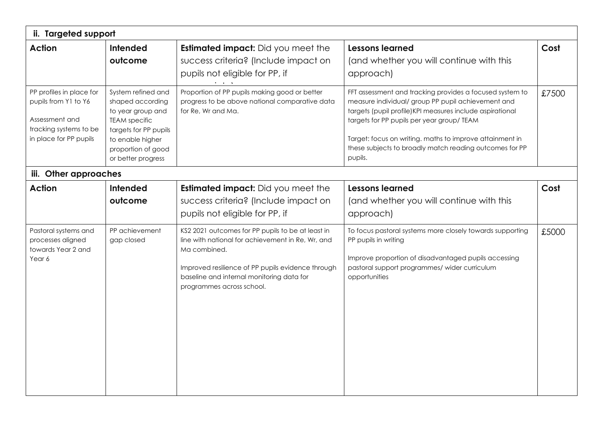| ii. Targeted support                                                                                                   |                                                                                                                                                                              |                                                                                                                                                                                                                                                       |                                                                                                                                                                                                                                                                                                                                                             |       |  |  |  |
|------------------------------------------------------------------------------------------------------------------------|------------------------------------------------------------------------------------------------------------------------------------------------------------------------------|-------------------------------------------------------------------------------------------------------------------------------------------------------------------------------------------------------------------------------------------------------|-------------------------------------------------------------------------------------------------------------------------------------------------------------------------------------------------------------------------------------------------------------------------------------------------------------------------------------------------------------|-------|--|--|--|
| <b>Action</b>                                                                                                          | <b>Intended</b><br>outcome                                                                                                                                                   | <b>Estimated impact:</b> Did you meet the<br>success criteria? (Include impact on<br>pupils not eligible for PP, if                                                                                                                                   | <b>Lessons learned</b><br>(and whether you will continue with this<br>approach)                                                                                                                                                                                                                                                                             | Cost  |  |  |  |
| PP profiles in place for<br>pupils from Y1 to Y6<br>Assessment and<br>tracking systems to be<br>in place for PP pupils | System refined and<br>shaped according<br>to year group and<br><b>TEAM</b> specific<br>targets for PP pupils<br>to enable higher<br>proportion of good<br>or better progress | Proportion of PP pupils making good or better<br>progress to be above national comparative data<br>for Re, Wr and Ma.                                                                                                                                 | FFT assessment and tracking provides a focused system to<br>measure individual/ group PP pupil achievement and<br>targets (pupil profile) KPI measures include aspirational<br>targets for PP pupils per year group/ TEAM<br>Target: focus on writing. maths to improve attainment in<br>these subjects to broadly match reading outcomes for PP<br>pupils. | £7500 |  |  |  |
| iii. Other approaches                                                                                                  |                                                                                                                                                                              |                                                                                                                                                                                                                                                       |                                                                                                                                                                                                                                                                                                                                                             |       |  |  |  |
| <b>Action</b>                                                                                                          | Intended<br>outcome                                                                                                                                                          | <b>Estimated impact:</b> Did you meet the<br>success criteria? (Include impact on<br>pupils not eligible for PP, if                                                                                                                                   | <b>Lessons learned</b><br>(and whether you will continue with this<br>approach)                                                                                                                                                                                                                                                                             | Cost  |  |  |  |
| Pastoral systems and<br>processes aligned<br>towards Year 2 and<br>Year 6                                              | PP achievement<br>gap closed                                                                                                                                                 | KS2 2021 outcomes for PP pupils to be at least in<br>line with national for achievement in Re, Wr, and<br>Ma combined.<br>Improved resilience of PP pupils evidence through<br>baseline and internal monitoring data for<br>programmes across school. | To focus pastoral systems more closely towards supporting<br>PP pupils in writing<br>Improve proportion of disadvantaged pupils accessing<br>pastoral support programmes/ wider curriculum<br>opportunities                                                                                                                                                 | £5000 |  |  |  |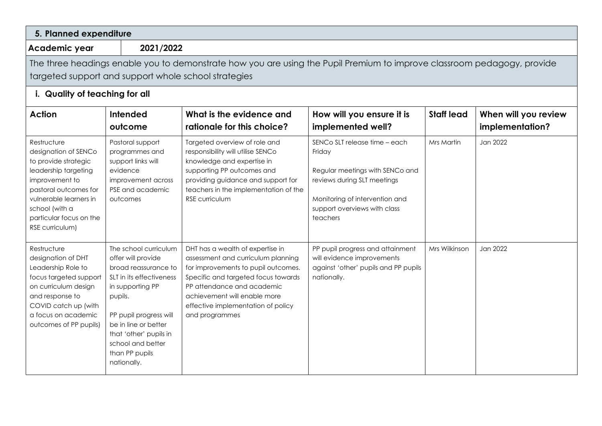| 5. Planned expenditure                                                                                                                                                                                                   |                                                                                                                                                                                                                                                                  |                                                                                                                                                                                                                                                                            |                                                                                                                                                                                         |                   |                                         |  |
|--------------------------------------------------------------------------------------------------------------------------------------------------------------------------------------------------------------------------|------------------------------------------------------------------------------------------------------------------------------------------------------------------------------------------------------------------------------------------------------------------|----------------------------------------------------------------------------------------------------------------------------------------------------------------------------------------------------------------------------------------------------------------------------|-----------------------------------------------------------------------------------------------------------------------------------------------------------------------------------------|-------------------|-----------------------------------------|--|
| Academic year                                                                                                                                                                                                            | 2021/2022                                                                                                                                                                                                                                                        |                                                                                                                                                                                                                                                                            |                                                                                                                                                                                         |                   |                                         |  |
| The three headings enable you to demonstrate how you are using the Pupil Premium to improve classroom pedagogy, provide<br>targeted support and support whole school strategies<br>i. Quality of teaching for all        |                                                                                                                                                                                                                                                                  |                                                                                                                                                                                                                                                                            |                                                                                                                                                                                         |                   |                                         |  |
| <b>Action</b>                                                                                                                                                                                                            | Intended<br>outcome                                                                                                                                                                                                                                              | What is the evidence and<br>rationale for this choice?                                                                                                                                                                                                                     | How will you ensure it is<br>implemented well?                                                                                                                                          | <b>Staff lead</b> | When will you review<br>implementation? |  |
| Restructure<br>designation of SENCo<br>to provide strategic<br>leadership targeting<br>improvement to<br>pastoral outcomes for<br>vulnerable learners in<br>school (with a<br>particular focus on the<br>RSE curriculum) | Pastoral support<br>programmes and<br>support links will<br>evidence<br>improvement across<br>PSE and academic<br>outcomes                                                                                                                                       | Targeted overview of role and<br>responsibility will utilise SENCo<br>knowledge and expertise in<br>supporting PP outcomes and<br>providing guidance and support for<br>teachers in the implementation of the<br>RSE curriculum                                            | SENCo SLT release time - each<br>Friday<br>Regular meetings with SENCo and<br>reviews during SLT meetings<br>Monitoring of intervention and<br>support overviews with class<br>teachers | Mrs Martin        | Jan 2022                                |  |
| Restructure<br>designation of DHT<br>Leadership Role to<br>focus targeted support<br>on curriculum design<br>and response to<br>COVID catch up (with<br>a focus on academic<br>outcomes of PP pupils)                    | The school curriculum<br>offer will provide<br>broad reassurance to<br>SLT in its effectiveness<br>in supporting PP<br>pupils.<br>PP pupil progress will<br>be in line or better<br>that 'other' pupils in<br>school and better<br>than PP pupils<br>nationally. | DHT has a wealth of expertise in<br>assessment and curriculum planning<br>for improvements to pupil outcomes.<br>Specific and targeted focus towards<br>PP attendance and academic<br>achievement will enable more<br>effective implementation of policy<br>and programmes | PP pupil progress and attainment<br>will evidence improvements<br>against 'other' pupils and PP pupils<br>nationally.                                                                   | Mrs Wilkinson     | Jan 2022                                |  |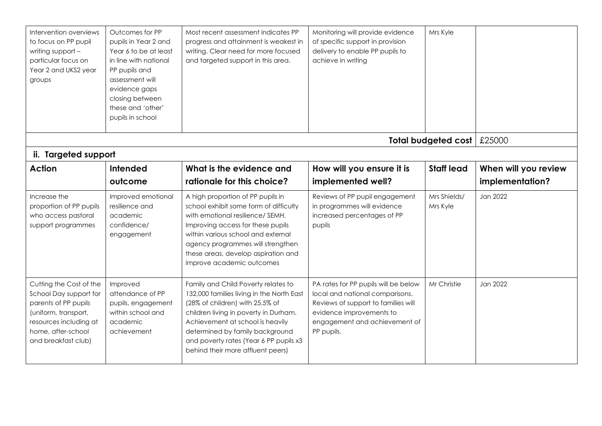| Intervention overviews<br>to focus on PP pupil<br>writing support -<br>particular focus on<br>Year 2 and UKS2 year<br>groups                                             | Outcomes for PP<br>pupils in Year 2 and<br>Year 6 to be at least<br>in line with national<br>PP pupils and<br>assessment will<br>evidence gaps<br>closing between<br>these and 'other'<br>pupils in school | Most recent assessment indicates PP<br>progress and attainment is weakest in<br>writing. Clear need for more focused<br>and targeted support in this area.                                                                                                                                                         | Monitoring will provide evidence<br>of specific support in provision<br>delivery to enable PP pupils to<br>achieve in writing                                                             | Mrs Kyle                   |                                         |
|--------------------------------------------------------------------------------------------------------------------------------------------------------------------------|------------------------------------------------------------------------------------------------------------------------------------------------------------------------------------------------------------|--------------------------------------------------------------------------------------------------------------------------------------------------------------------------------------------------------------------------------------------------------------------------------------------------------------------|-------------------------------------------------------------------------------------------------------------------------------------------------------------------------------------------|----------------------------|-----------------------------------------|
|                                                                                                                                                                          |                                                                                                                                                                                                            |                                                                                                                                                                                                                                                                                                                    |                                                                                                                                                                                           | <b>Total budgeted cost</b> | £25000                                  |
| ii. Targeted support                                                                                                                                                     |                                                                                                                                                                                                            |                                                                                                                                                                                                                                                                                                                    |                                                                                                                                                                                           |                            |                                         |
| <b>Action</b>                                                                                                                                                            | Intended<br>outcome                                                                                                                                                                                        | What is the evidence and<br>rationale for this choice?                                                                                                                                                                                                                                                             | How will you ensure it is<br>implemented well?                                                                                                                                            | <b>Staff lead</b>          | When will you review<br>implementation? |
| Increase the<br>proportion of PP pupils<br>who access pastoral<br>support programmes                                                                                     | Improved emotional<br>resilience and<br>academic<br>confidence/<br>engagement                                                                                                                              | A high proportion of PP pupils in<br>school exhibit some form of difficulty<br>with emotional resilience/ SEMH.<br>Improving access for these pupils<br>within various school and external<br>agency programmes will strengthen<br>these areas, develop aspiration and<br>improve academic outcomes                | Reviews of PP pupil engagement<br>in programmes will evidence<br>increased percentages of PP<br>pupils                                                                                    | Mrs Shields/<br>Mrs Kyle   | Jan 2022                                |
| Cutting the Cost of the<br>School Day support for<br>parents of PP pupils<br>(uniform, transport,<br>resources including at<br>home, after-school<br>and breakfast club) | Improved<br>attendance of PP<br>pupils, engagement<br>within school and<br>academic<br>achievement                                                                                                         | Family and Child Poverty relates to<br>132,000 families living in the North East<br>(28% of children) with 25.5% of<br>children living in poverty in Durham.<br>Achievement at school is heavily<br>determined by family background<br>and poverty rates (Year 6 PP pupils x3<br>behind their more affluent peers) | PA rates for PP pupils will be below<br>local and national comparisons.<br>Reviews of support to families will<br>evidence improvements to<br>engagement and achievement of<br>PP pupils. | Mr Christie                | Jan 2022                                |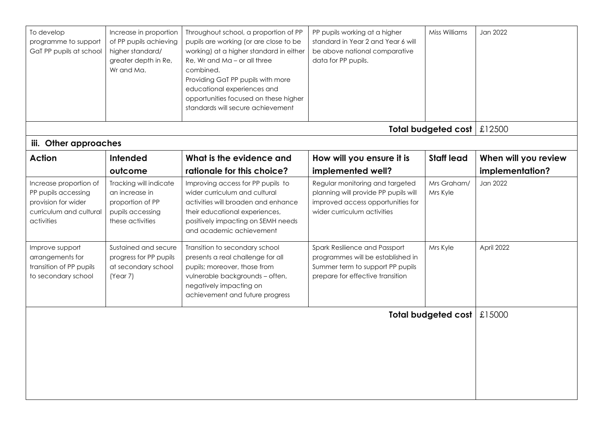| To develop<br>programme to support<br>GaT PP pupils at school                                                 | Increase in proportion<br>of PP pupils achieving<br>higher standard/<br>greater depth in Re,<br>Wr and Ma. | Throughout school, a proportion of PP<br>pupils are working (or are close to be<br>working) at a higher standard in either<br>Re, Wr and Ma - or all three<br>combined.<br>Providing GaT PP pupils with more<br>educational experiences and<br>opportunities focused on these higher<br>standards will secure achievement | PP pupils working at a higher<br>standard in Year 2 and Year 6 will<br>be above national comparative<br>data for PP pupils.                 | Miss Williams                | Jan 2022                                |
|---------------------------------------------------------------------------------------------------------------|------------------------------------------------------------------------------------------------------------|---------------------------------------------------------------------------------------------------------------------------------------------------------------------------------------------------------------------------------------------------------------------------------------------------------------------------|---------------------------------------------------------------------------------------------------------------------------------------------|------------------------------|-----------------------------------------|
|                                                                                                               |                                                                                                            |                                                                                                                                                                                                                                                                                                                           |                                                                                                                                             | Total budgeted cost   £12500 |                                         |
| iii. Other approaches                                                                                         |                                                                                                            |                                                                                                                                                                                                                                                                                                                           |                                                                                                                                             |                              |                                         |
| <b>Action</b>                                                                                                 | Intended<br>outcome                                                                                        | What is the evidence and<br>rationale for this choice?                                                                                                                                                                                                                                                                    | How will you ensure it is<br>implemented well?                                                                                              | <b>Staff lead</b>            | When will you review<br>implementation? |
| Increase proportion of<br>PP pupils accessing<br>provision for wider<br>curriculum and cultural<br>activities | Tracking will indicate<br>an increase in<br>proportion of PP<br>pupils accessing<br>these activities       | Improving access for PP pupils to<br>wider curriculum and cultural<br>activities will broaden and enhance<br>their educational experiences,<br>positively impacting on SEMH needs<br>and academic achievement                                                                                                             | Regular monitoring and targeted<br>planning will provide PP pupils will<br>improved access opportunities for<br>wider curriculum activities | Mrs Graham/<br>Mrs Kyle      | Jan 2022                                |
| Improve support<br>arrangements for<br>transition of PP pupils<br>to secondary school                         | Sustained and secure<br>progress for PP pupils<br>at secondary school<br>(Year 7)                          | Transition to secondary school<br>presents a real challenge for all<br>pupils; moreover, those from<br>vulnerable backgrounds - often,<br>negatively impacting on<br>achievement and future progress                                                                                                                      | Spark Resilience and Passport<br>programmes will be established in<br>Summer term to support PP pupils<br>prepare for effective transition  | Mrs Kyle                     | April 2022                              |
|                                                                                                               |                                                                                                            |                                                                                                                                                                                                                                                                                                                           |                                                                                                                                             | Total budgeted cost          | £15000                                  |